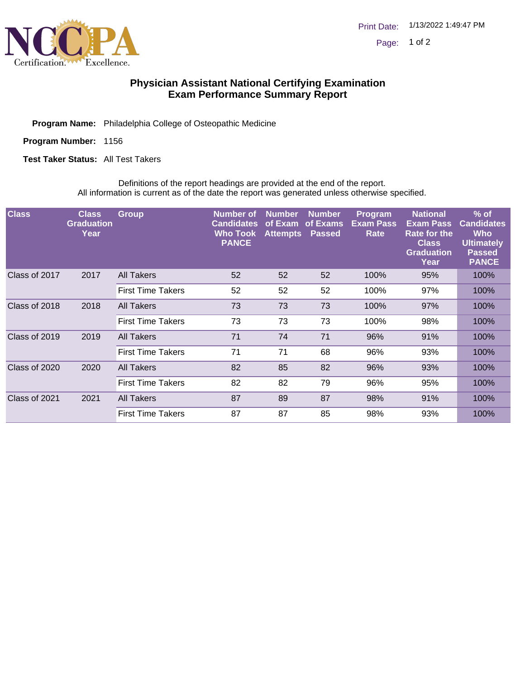

## **Physician Assistant National Certifying Examination Exam Performance Summary Report**

Program Name: Philadelphia College of Osteopathic Medicine

Program Number: 1156

**Test Taker Status: All Test Takers** 

Definitions of the report headings are provided at the end of the report. All information is current as of the date the report was generated unless otherwise specified.

| <b>Class</b>  | <b>Class</b><br><b>Graduation</b><br>Year | <b>Group</b>             | <b>Number</b> of<br><b>Candidates</b><br><b>Who Took</b><br><b>PANCE</b> | Number<br>of Exam<br><b>Attempts</b> | <b>Number</b><br>of Exams<br><b>Passed</b> | <b>Program</b><br><b>Exam Pass</b><br>Rate | <b>National</b><br><b>Exam Pass</b><br><b>Rate for the</b><br><b>Class</b><br><b>Graduation</b><br>Year | $%$ of<br><b>Candidates</b><br>Who<br><b>Ultimately</b><br><b>Passed</b><br><b>PANCE</b> |
|---------------|-------------------------------------------|--------------------------|--------------------------------------------------------------------------|--------------------------------------|--------------------------------------------|--------------------------------------------|---------------------------------------------------------------------------------------------------------|------------------------------------------------------------------------------------------|
| Class of 2017 | 2017                                      | All Takers               | 52                                                                       | 52                                   | 52                                         | 100%                                       | 95%                                                                                                     | 100%                                                                                     |
|               |                                           | <b>First Time Takers</b> | 52                                                                       | 52                                   | 52                                         | 100%                                       | 97%                                                                                                     | 100%                                                                                     |
| Class of 2018 | 2018                                      | All Takers               | 73                                                                       | 73                                   | 73                                         | 100%                                       | 97%                                                                                                     | 100%                                                                                     |
|               |                                           | <b>First Time Takers</b> | 73                                                                       | 73                                   | 73                                         | 100%                                       | 98%                                                                                                     | 100%                                                                                     |
| Class of 2019 | 2019                                      | All Takers               | 71                                                                       | 74                                   | 71                                         | 96%                                        | 91%                                                                                                     | 100%                                                                                     |
|               |                                           | <b>First Time Takers</b> | 71                                                                       | 71                                   | 68                                         | 96%                                        | 93%                                                                                                     | 100%                                                                                     |
| Class of 2020 | 2020                                      | All Takers               | 82                                                                       | 85                                   | 82                                         | 96%                                        | 93%                                                                                                     | 100%                                                                                     |
|               |                                           | <b>First Time Takers</b> | 82                                                                       | 82                                   | 79                                         | 96%                                        | 95%                                                                                                     | 100%                                                                                     |
| Class of 2021 | 2021                                      | All Takers               | 87                                                                       | 89                                   | 87                                         | 98%                                        | 91%                                                                                                     | 100%                                                                                     |
|               |                                           | <b>First Time Takers</b> | 87                                                                       | 87                                   | 85                                         | 98%                                        | 93%                                                                                                     | 100%                                                                                     |